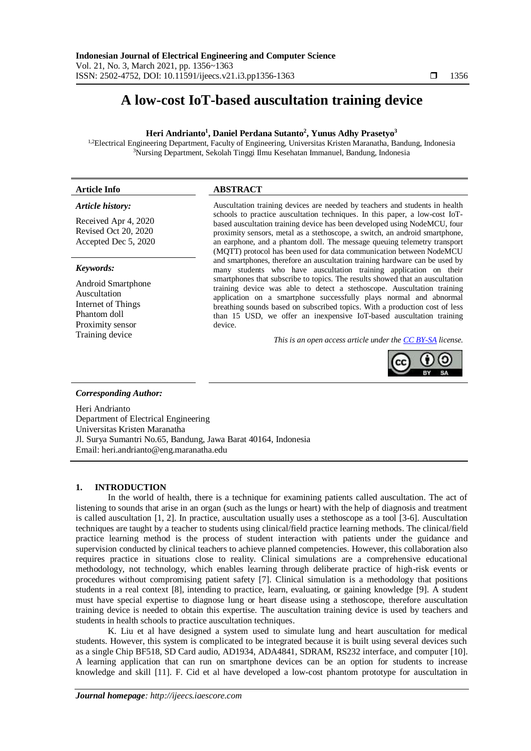# **A low-cost IoT-based auscultation training device**

# **Heri Andrianto<sup>1</sup> , Daniel Perdana Sutanto<sup>2</sup> , Yunus Adhy Prasetyo<sup>3</sup>**

<sup>1,2</sup>Electrical Engineering Department, Faculty of Engineering, Universitas Kristen Maranatha, Bandung, Indonesia <sup>3</sup>Nursing Department, Sekolah Tinggi Ilmu Kesehatan Immanuel, Bandung, Indonesia

# **Article Info ABSTRACT**

#### *Article history:*

Received Apr 4, 2020 Revised Oct 20, 2020 Accepted Dec 5, 2020

# *Keywords:*

Android Smartphone Auscultation Internet of Things Phantom doll Proximity sensor

Auscultation training devices are needed by teachers and students in health schools to practice auscultation techniques. In this paper, a low-cost IoTbased auscultation training device has been developed using NodeMCU, four proximity sensors, metal as a stethoscope, a switch, an android smartphone, an earphone, and a phantom doll. The message queuing telemetry transport (MQTT) protocol has been used for data communication between NodeMCU and smartphones, therefore an auscultation training hardware can be used by many students who have auscultation training application on their smartphones that subscribe to topics. The results showed that an auscultation training device was able to detect a stethoscope. Auscultation training application on a smartphone successfully plays normal and abnormal breathing sounds based on subscribed topics. With a production cost of less than 15 USD, we offer an inexpensive IoT-based auscultation training device.

Training device *This is an open access article under the [CC BY-SA](https://creativecommons.org/licenses/by-sa/4.0/) license.*



# *Corresponding Author:*

Heri Andrianto Department of Electrical Engineering Universitas Kristen Maranatha Jl. Surya Sumantri No.65, Bandung, Jawa Barat 40164, Indonesia Email: heri.andrianto@eng.maranatha.edu

# **1. INTRODUCTION**

In the world of health, there is a technique for examining patients called auscultation. The act of listening to sounds that arise in an organ (such as the lungs or heart) with the help of diagnosis and treatment is called auscultation [1, 2]. In practice, auscultation usually uses a stethoscope as a tool [3-6]. Auscultation techniques are taught by a teacher to students using clinical/field practice learning methods. The clinical/field practice learning method is the process of student interaction with patients under the guidance and supervision conducted by clinical teachers to achieve planned competencies. However, this collaboration also requires practice in situations close to reality. Clinical simulations are a comprehensive educational methodology, not technology, which enables learning through deliberate practice of high-risk events or procedures without compromising patient safety [7]. Clinical simulation is a methodology that positions students in a real context [8], intending to practice, learn, evaluating, or gaining knowledge [9]. A student must have special expertise to diagnose lung or heart disease using a stethoscope, therefore auscultation training device is needed to obtain this expertise. The auscultation training device is used by teachers and students in health schools to practice auscultation techniques.

K. Liu et al have designed a system used to simulate lung and heart auscultation for medical students. However, this system is complicated to be integrated because it is built using several devices such as a single Chip BF518, SD Card audio, AD1934, ADA4841, SDRAM, RS232 interface, and computer [10]. A learning application that can run on smartphone devices can be an option for students to increase knowledge and skill [11]. F. Cid et al have developed a low-cost phantom prototype for auscultation in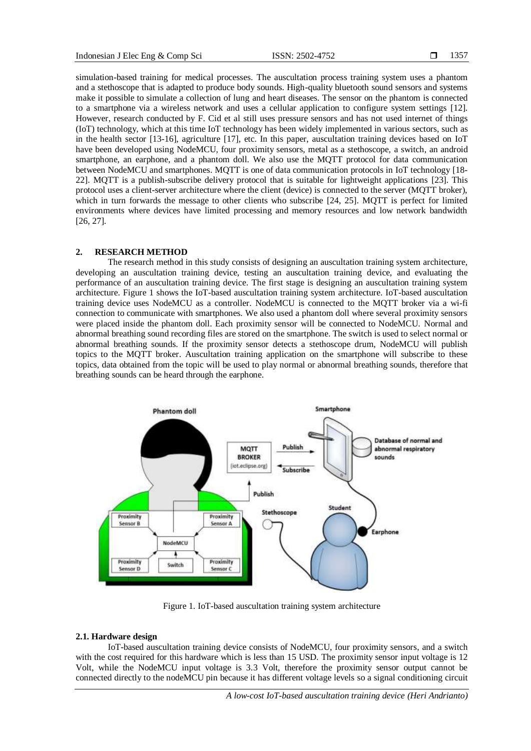simulation-based training for medical processes. The auscultation process training system uses a phantom and a stethoscope that is adapted to produce body sounds. High-quality bluetooth sound sensors and systems make it possible to simulate a collection of lung and heart diseases. The sensor on the phantom is connected to a smartphone via a wireless network and uses a cellular application to configure system settings [12]. However, research conducted by F. Cid et al still uses pressure sensors and has not used internet of things (IoT) technology, which at this time IoT technology has been widely implemented in various sectors, such as in the health sector [13-16], agriculture [17], etc. In this paper, auscultation training devices based on IoT have been developed using NodeMCU, four proximity sensors, metal as a stethoscope, a switch, an android smartphone, an earphone, and a phantom doll. We also use the MQTT protocol for data communication between NodeMCU and smartphones. MQTT is one of data communication protocols in IoT technology [18- 22]. MQTT is a publish-subscribe delivery protocol that is suitable for lightweight applications [23]. This protocol uses a client-server architecture where the client (device) is connected to the server (MQTT broker), which in turn forwards the message to other clients who subscribe [24, 25]. MQTT is perfect for limited environments where devices have limited processing and memory resources and low network bandwidth [26, 27].

# **2. RESEARCH METHOD**

The research method in this study consists of designing an auscultation training system architecture, developing an auscultation training device, testing an auscultation training device, and evaluating the performance of an auscultation training device. The first stage is designing an auscultation training system architecture. Figure 1 shows the IoT-based auscultation training system architecture. IoT-based auscultation training device uses NodeMCU as a controller. NodeMCU is connected to the MQTT broker via a wi-fi connection to communicate with smartphones. We also used a phantom doll where several proximity sensors were placed inside the phantom doll. Each proximity sensor will be connected to NodeMCU. Normal and abnormal breathing sound recording files are stored on the smartphone. The switch is used to select normal or abnormal breathing sounds. If the proximity sensor detects a stethoscope drum, NodeMCU will publish topics to the MQTT broker. Auscultation training application on the smartphone will subscribe to these topics, data obtained from the topic will be used to play normal or abnormal breathing sounds, therefore that breathing sounds can be heard through the earphone.



Figure 1. IoT-based auscultation training system architecture

# **2.1. Hardware design**

IoT-based auscultation training device consists of NodeMCU, four proximity sensors, and a switch with the cost required for this hardware which is less than 15 USD. The proximity sensor input voltage is 12 Volt, while the NodeMCU input voltage is 3.3 Volt, therefore the proximity sensor output cannot be connected directly to the nodeMCU pin because it has different voltage levels so a signal conditioning circuit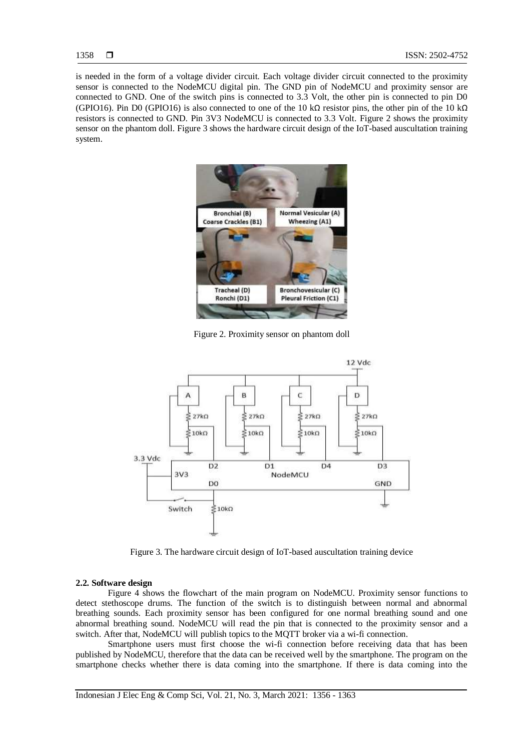is needed in the form of a voltage divider circuit. Each voltage divider circuit connected to the proximity sensor is connected to the NodeMCU digital pin. The GND pin of NodeMCU and proximity sensor are connected to GND. One of the switch pins is connected to 3.3 Volt, the other pin is connected to pin D0 (GPIO16). Pin D0 (GPIO16) is also connected to one of the 10 kΩ resistor pins, the other pin of the 10 kΩ resistors is connected to GND. Pin 3V3 NodeMCU is connected to 3.3 Volt. Figure 2 shows the proximity sensor on the phantom doll. Figure 3 shows the hardware circuit design of the IoT-based auscultation training system.



Figure 2. Proximity sensor on phantom doll



Figure 3. The hardware circuit design of IoT-based auscultation training device

#### **2.2. Software design**

Figure 4 shows the flowchart of the main program on NodeMCU. Proximity sensor functions to detect stethoscope drums. The function of the switch is to distinguish between normal and abnormal breathing sounds. Each proximity sensor has been configured for one normal breathing sound and one abnormal breathing sound. NodeMCU will read the pin that is connected to the proximity sensor and a switch. After that, NodeMCU will publish topics to the MQTT broker via a wi-fi connection.

Smartphone users must first choose the wi-fi connection before receiving data that has been published by NodeMCU, therefore that the data can be received well by the smartphone. The program on the smartphone checks whether there is data coming into the smartphone. If there is data coming into the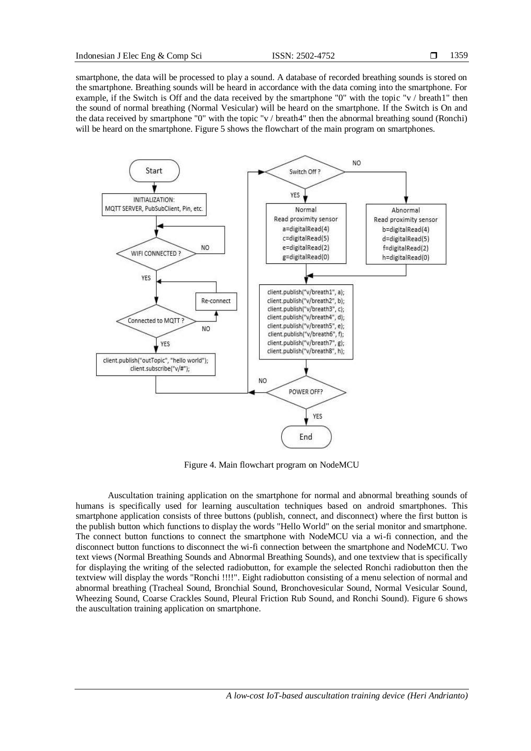smartphone, the data will be processed to play a sound. A database of recorded breathing sounds is stored on the smartphone. Breathing sounds will be heard in accordance with the data coming into the smartphone. For example, if the Switch is Off and the data received by the smartphone "0" with the topic "v / breath1" then the sound of normal breathing (Normal Vesicular) will be heard on the smartphone. If the Switch is On and the data received by smartphone "0" with the topic "v / breath4" then the abnormal breathing sound (Ronchi) will be heard on the smartphone. Figure 5 shows the flowchart of the main program on smartphones.



Figure 4. Main flowchart program on NodeMCU

Auscultation training application on the smartphone for normal and abnormal breathing sounds of humans is specifically used for learning auscultation techniques based on android smartphones. This smartphone application consists of three buttons (publish, connect, and disconnect) where the first button is the publish button which functions to display the words "Hello World" on the serial monitor and smartphone. The connect button functions to connect the smartphone with NodeMCU via a wi-fi connection, and the disconnect button functions to disconnect the wi-fi connection between the smartphone and NodeMCU. Two text views (Normal Breathing Sounds and Abnormal Breathing Sounds), and one textview that is specifically for displaying the writing of the selected radiobutton, for example the selected Ronchi radiobutton then the textview will display the words "Ronchi !!!!". Eight radiobutton consisting of a menu selection of normal and abnormal breathing (Tracheal Sound, Bronchial Sound, Bronchovesicular Sound, Normal Vesicular Sound, Wheezing Sound, Coarse Crackles Sound, Pleural Friction Rub Sound, and Ronchi Sound). Figure 6 shows the auscultation training application on smartphone.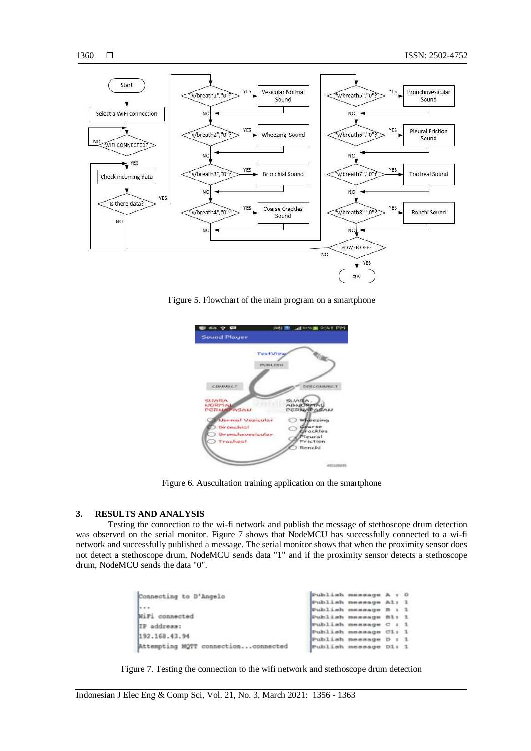

Figure 5. Flowchart of the main program on a smartphone



Figure 6. Auscultation training application on the smartphone

# **3. RESULTS AND ANALYSIS**

Testing the connection to the wi-fi network and publish the message of stethoscope drum detection was observed on the serial monitor. Figure 7 shows that NodeMCU has successfully connected to a wi-fi network and successfully published a message. The serial monitor shows that when the proximity sensor does not detect a stethoscope drum, NodeMCU sends data "1" and if the proximity sensor detects a stethoscope drum, NodeMCU sends the data "0".

| Connecting to D'Angelo              | Publish message A : 0 |  |  |
|-------------------------------------|-----------------------|--|--|
|                                     | Publish message A1: 1 |  |  |
| 1.11                                | Publish message B : 1 |  |  |
| WiFi connected                      | Publish message 81: 1 |  |  |
| IP address:                         | Publish message C : 1 |  |  |
|                                     | Publish message Cl: 1 |  |  |
| 192.168.43.94                       | Publish message D : 1 |  |  |
| Attempting M2TT connectionconnected | Publish message D1: 1 |  |  |

Figure 7. Testing the connection to the wifi network and stethoscope drum detection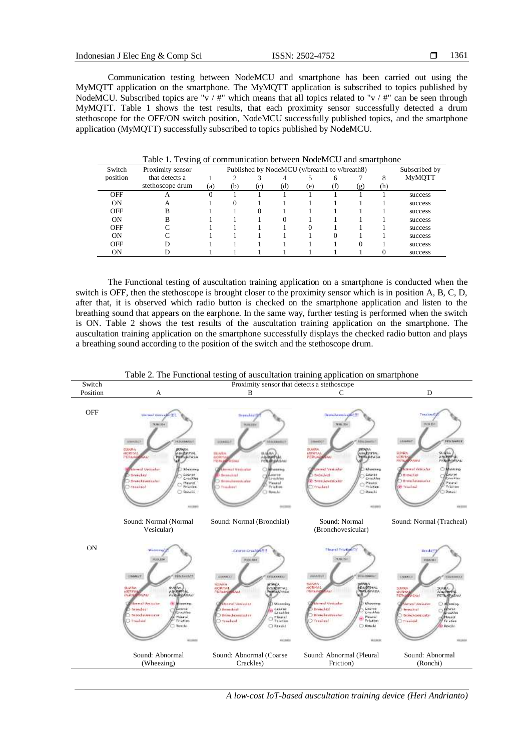Communication testing between NodeMCU and smartphone has been carried out using the MyMQTT application on the smartphone. The MyMQTT application is subscribed to topics published by NodeMCU. Subscribed topics are "v / #" which means that all topics related to "v / #" can be seen through MyMQTT. Table 1 shows the test results, that each proximity sensor successfully detected a drum stethoscope for the OFF/ON switch position, NodeMCU successfully published topics, and the smartphone application (MyMQTT) successfully subscribed to topics published by NodeMCU.

| Switch         | Proximity sensor | Published by NodeMCU (v/breath1 to v/breath8) |     |          |          |     |              | Subscribed by |     |               |
|----------------|------------------|-----------------------------------------------|-----|----------|----------|-----|--------------|---------------|-----|---------------|
| position       | that detects a   |                                               |     |          | 4        |     | <sub>6</sub> |               | 8   | <b>MyMQTT</b> |
|                | stethoscope drum | (a)                                           | (b) | (c)      | (d)      | (e) | (f)          | (g)           | (h) |               |
| <b>OFF</b>     | A                | $\theta$                                      |     |          |          |     |              |               |     | success       |
| 0 <sub>N</sub> | A                |                                               | 0   |          |          |     |              |               |     | success       |
| OFF            | в                |                                               |     | $\theta$ |          |     |              |               |     | success       |
| 0N             | в                |                                               |     |          | $\Omega$ |     |              |               |     | success       |
| OFF            |                  |                                               |     |          |          | 0   |              |               |     | success       |
| 0N             |                  |                                               |     |          |          |     | $\Omega$     |               |     | success       |
| <b>OFF</b>     | D                |                                               |     |          |          |     |              | $\theta$      |     | success       |
| OΝ             |                  |                                               |     |          |          |     |              |               |     | success       |

Table 1. Testing of communication between NodeMCU and smartphone

The Functional testing of auscultation training application on a smartphone is conducted when the switch is OFF, then the stethoscope is brought closer to the proximity sensor which is in position A, B, C, D, after that, it is observed which radio button is checked on the smartphone application and listen to the breathing sound that appears on the earphone. In the same way, further testing is performed when the switch is ON. Table 2 shows the test results of the auscultation training application on the smartphone. The auscultation training application on the smartphone successfully displays the checked radio button and plays a breathing sound according to the position of the switch and the stethoscope drum.



Table 2. The Functional testing of auscultation training application on smartphone

*A low-cost IoT-based auscultation training device (Heri Andrianto)*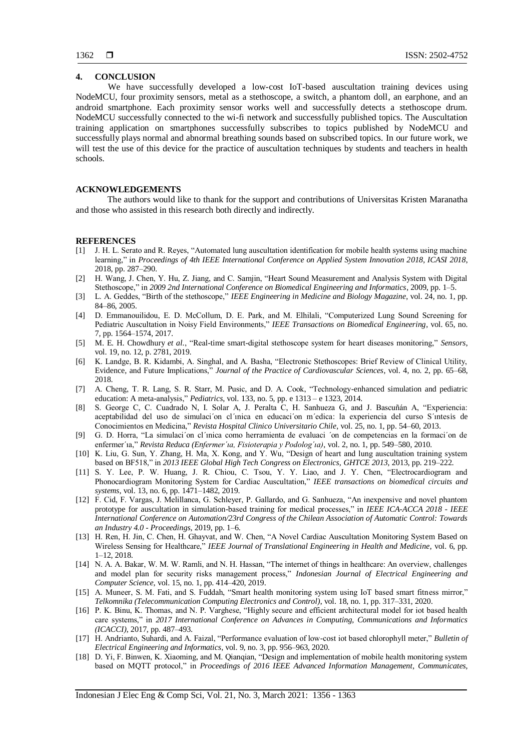# **4. CONCLUSION**

We have successfully developed a low-cost IoT-based auscultation training devices using NodeMCU, four proximity sensors, metal as a stethoscope, a switch, a phantom doll, an earphone, and an android smartphone. Each proximity sensor works well and successfully detects a stethoscope drum. NodeMCU successfully connected to the wi-fi network and successfully published topics. The Auscultation training application on smartphones successfully subscribes to topics published by NodeMCU and successfully plays normal and abnormal breathing sounds based on subscribed topics. In our future work, we will test the use of this device for the practice of auscultation techniques by students and teachers in health schools.

## **ACKNOWLEDGEMENTS**

The authors would like to thank for the support and contributions of Universitas Kristen Maranatha and those who assisted in this research both directly and indirectly.

#### **REFERENCES**

- [1] J. H. L. Serato and R. Reyes, "Automated lung auscultation identification for mobile health systems using machine learning," in *Proceedings of 4th IEEE International Conference on Applied System Innovation 2018, ICASI 2018*, 2018, pp. 287–290.
- [2] H. Wang, J. Chen, Y. Hu, Z. Jiang, and C. Samjin, "Heart Sound Measurement and Analysis System with Digital Stethoscope," in *2009 2nd International Conference on Biomedical Engineering and Informatics*, 2009, pp. 1–5.
- [3] L. A. Geddes, "Birth of the stethoscope," *IEEE Engineering in Medicine and Biology Magazine*, vol. 24, no. 1, pp. 84–86, 2005.
- [4] D. Emmanouilidou, E. D. McCollum, D. E. Park, and M. Elhilali, "Computerized Lung Sound Screening for Pediatric Auscultation in Noisy Field Environments," *IEEE Transactions on Biomedical Engineering*, vol. 65, no. 7, pp. 1564–1574, 2017.
- [5] M. E. H. Chowdhury *et al.*, "Real-time smart-digital stethoscope system for heart diseases monitoring," *Sensors*, vol. 19, no. 12, p. 2781, 2019.
- [6] K. Landge, B. R. Kidambi, A. Singhal, and A. Basha, "Electronic Stethoscopes: Brief Review of Clinical Utility, Evidence, and Future Implications," *Journal of the Practice of Cardiovascular Sciences*, vol. 4, no. 2, pp. 65–68, 2018.
- [7] A. Cheng, T. R. Lang, S. R. Starr, M. Pusic, and D. A. Cook, "Technology-enhanced simulation and pediatric education: A meta-analysis," *Pediatrics*, vol. 133, no. 5, pp. e 1313 – e 1323, 2014.
- [8] S. George C, C. Cuadrado N, I. Solar A, J. Peralta C, H. Sanhueza G, and J. Bascuñán A, "Experiencia: aceptabilidad del uso de simulaci´on cl´ınica en educaci´on m´edica: la experiencia del curso S´ıntesis de Conocimientos en Medicina," *Revista Hospital Clinico Universitario Chile*, vol. 25, no. 1, pp. 54–60, 2013.
- [9] G. D. Horra, "La simulaci´on cl´ınica como herramienta de evaluaci ´on de competencias en la formaci´on de enfermer´ıa," *Revista Reduca (Enfermer´ıa, Fisioterapia y Podolog´ıa)*, vol. 2, no. 1, pp. 549–580, 2010.
- [10] K. Liu, G. Sun, Y. Zhang, H. Ma, X. Kong, and Y. Wu, "Design of heart and lung auscultation training system based on BF518," in *2013 IEEE Global High Tech Congress on Electronics, GHTCE 2013*, 2013, pp. 219–222.
- [11] S. Y. Lee, P. W. Huang, J. R. Chiou, C. Tsou, Y. Y. Liao, and J. Y. Chen, "Electrocardiogram and Phonocardiogram Monitoring System for Cardiac Auscultation," *IEEE transactions on biomedical circuits and systems*, vol. 13, no. 6, pp. 1471–1482, 2019.
- [12] F. Cid, F. Vargas, J. Melillanca, G. Schleyer, P. Gallardo, and G. Sanhueza, "An inexpensive and novel phantom prototype for auscultation in simulation-based training for medical processes," in *IEEE ICA-ACCA 2018 - IEEE International Conference on Automation/23rd Congress of the Chilean Association of Automatic Control: Towards an Industry 4.0 - Proceedings*, 2019, pp. 1–6.
- [13] H. Ren, H. Jin, C. Chen, H. Ghayvat, and W. Chen, "A Novel Cardiac Auscultation Monitoring System Based on Wireless Sensing for Healthcare," *IEEE Journal of Translational Engineering in Health and Medicine*, vol. 6, pp. 1–12, 2018.
- [14] N. A. A. Bakar, W. M. W. Ramli, and N. H. Hassan, "The internet of things in healthcare: An overview, challenges and model plan for security risks management process," *Indonesian Journal of Electrical Engineering and Computer Science*, vol. 15, no. 1, pp. 414–420, 2019.
- [15] A. Muneer, S. M. Fati, and S. Fuddah, "Smart health monitoring system using IoT based smart fitness mirror," *Telkomnika (Telecommunication Computing Electronics and Control)*, vol. 18, no. 1, pp. 317–331, 2020.
- [16] P. K. Binu, K. Thomas, and N. P. Varghese, "Highly secure and efficient architectural model for iot based health care systems," in *2017 International Conference on Advances in Computing, Communications and Informatics (ICACCI)*, 2017, pp. 487–493.
- [17] H. Andrianto, Suhardi, and A. Faizal, "Performance evaluation of low-cost iot based chlorophyll meter," *Bulletin of Electrical Engineering and Informatics*, vol. 9, no. 3, pp. 956–963, 2020.
- [18] D. Yi, F. Binwen, K. Xiaoming, and M. Qianqian, "Design and implementation of mobile health monitoring system based on MQTT protocol," in *Proceedings of 2016 IEEE Advanced Information Management, Communicates,*